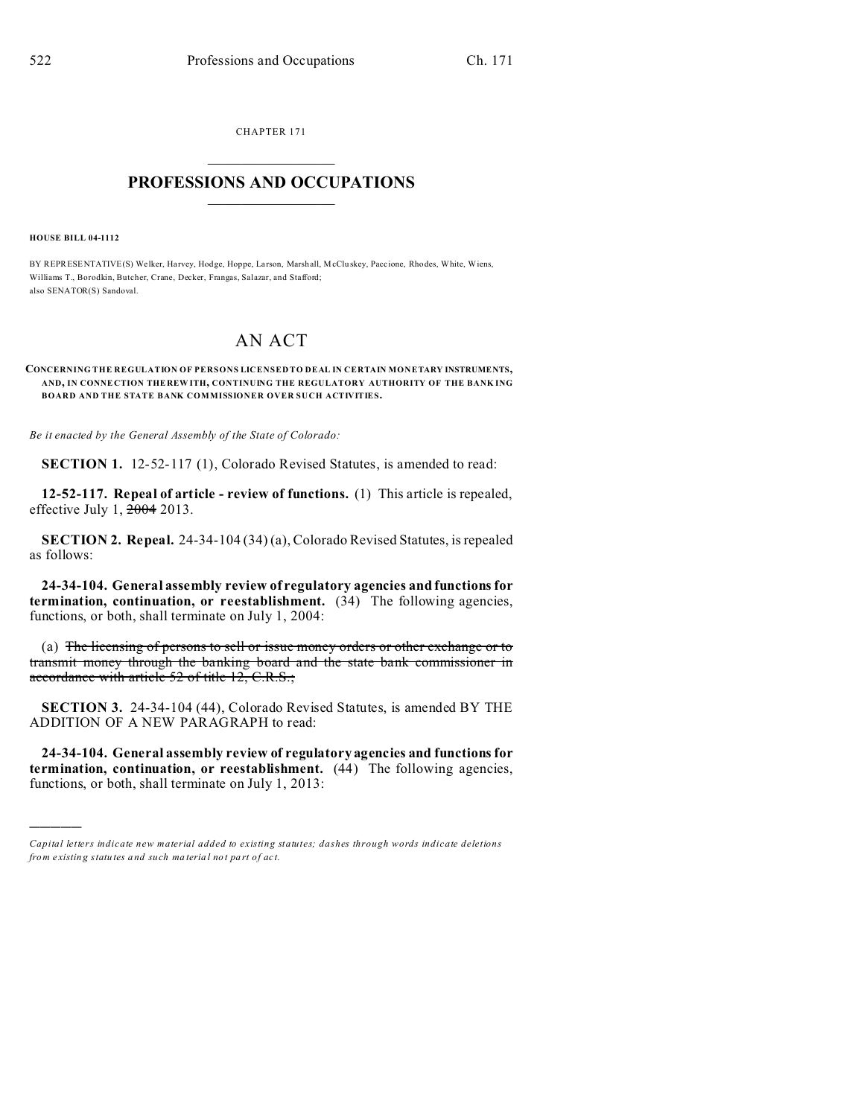CHAPTER 171  $\overline{\phantom{a}}$  , where  $\overline{\phantom{a}}$ 

## **PROFESSIONS AND OCCUPATIONS**  $\frac{1}{2}$  ,  $\frac{1}{2}$  ,  $\frac{1}{2}$  ,  $\frac{1}{2}$  ,  $\frac{1}{2}$  ,  $\frac{1}{2}$

**HOUSE BILL 04-1112**

)))))

BY REPRESENTATIVE(S) Welker, Harvey, Hodge, Hoppe, Larson, Marsh all, McClu skey, Paccione, Rho des, White, Wiens, Williams T., Borodkin, Butcher, Crane, Decker, Frangas, Salazar, and Stafford; also SENATOR(S) Sandoval.

## AN ACT

## **CONCERNING THE REGULATION OF PERSONS LICENSED TO DEAL IN CERTAIN MONETARY INSTRUMENTS, AND, IN CONNE CTION THE REW ITH, CONTINUING THE REGULATORY AUTHORITY OF THE BANK ING BOARD AND THE STATE BANK COMMISSIONER OVER SUCH ACTIVITIES.**

*Be it enacted by the General Assembly of the State of Colorado:*

**SECTION 1.** 12-52-117 (1), Colorado Revised Statutes, is amended to read:

**12-52-117. Repeal of article - review of functions.** (1) This article is repealed, effective July 1, 2004 2013.

**SECTION 2. Repeal.** 24-34-104 (34) (a), Colorado Revised Statutes, is repealed as follows:

**24-34-104. General assembly review of regulatory agencies and functions for termination, continuation, or reestablishment.** (34) The following agencies, functions, or both, shall terminate on July 1, 2004:

(a) The licensing of persons to sell or issue money orders or other exchange or to transmit money through the banking board and the state bank commissioner in accordance with article 52 of title 12, C.R.S.;

**SECTION 3.** 24-34-104 (44), Colorado Revised Statutes, is amended BY THE ADDITION OF A NEW PARAGRAPH to read:

**24-34-104. General assembly review of regulatory agencies and functions for termination, continuation, or reestablishment.** (44) The following agencies, functions, or both, shall terminate on July 1, 2013:

*Capital letters indicate new material added to existing statutes; dashes through words indicate deletions from e xistin g statu tes a nd such ma teria l no t pa rt of ac t.*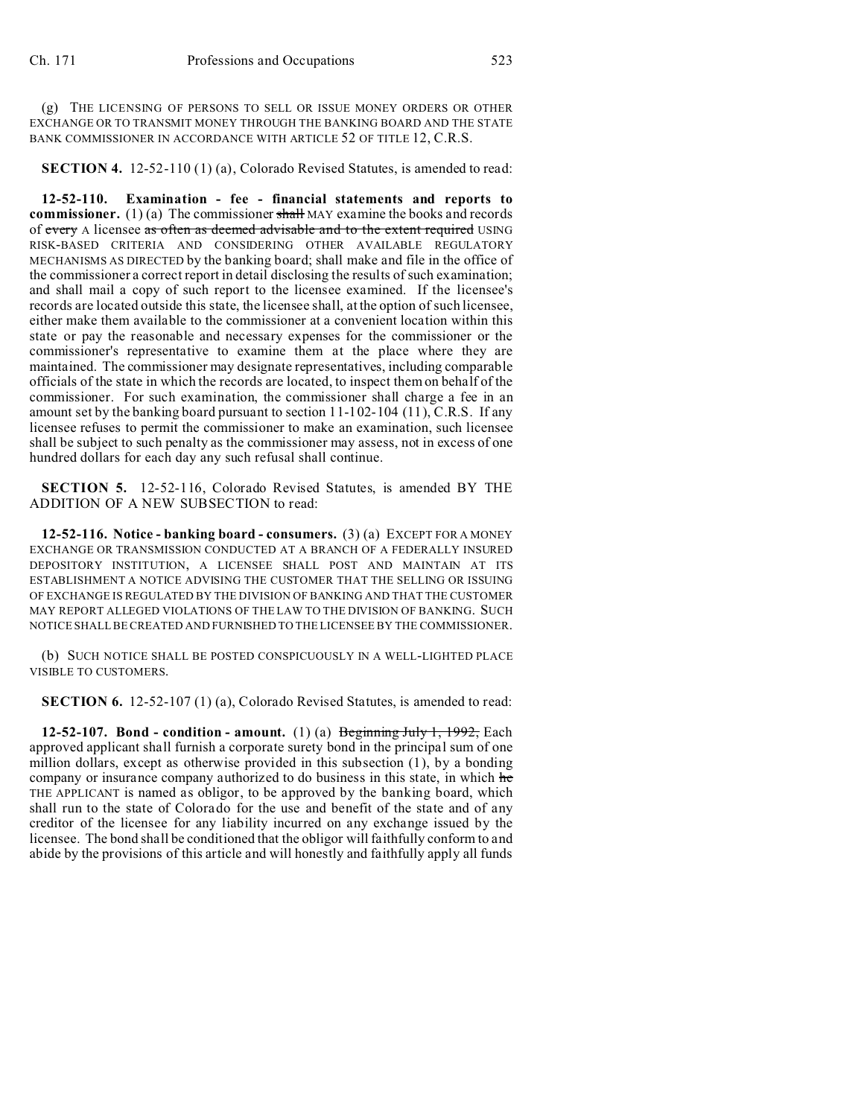(g) THE LICENSING OF PERSONS TO SELL OR ISSUE MONEY ORDERS OR OTHER EXCHANGE OR TO TRANSMIT MONEY THROUGH THE BANKING BOARD AND THE STATE BANK COMMISSIONER IN ACCORDANCE WITH ARTICLE 52 OF TITLE 12, C.R.S.

**SECTION 4.** 12-52-110 (1) (a), Colorado Revised Statutes, is amended to read:

**12-52-110. Examination - fee - financial statements and reports to commissioner.** (1) (a) The commissioner shall MAY examine the books and records of every A licensee as often as deemed advisable and to the extent required USING RISK-BASED CRITERIA AND CONSIDERING OTHER AVAILABLE REGULATORY MECHANISMS AS DIRECTED by the banking board; shall make and file in the office of the commissioner a correct report in detail disclosing the results of such examination; and shall mail a copy of such report to the licensee examined. If the licensee's records are located outside this state, the licensee shall, at the option of such licensee, either make them available to the commissioner at a convenient location within this state or pay the reasonable and necessary expenses for the commissioner or the commissioner's representative to examine them at the place where they are maintained. The commissioner may designate representatives, including comparable officials of the state in which the records are located, to inspect them on behalf of the commissioner. For such examination, the commissioner shall charge a fee in an amount set by the banking board pursuant to section 11-102-104 (11), C.R.S. If any licensee refuses to permit the commissioner to make an examination, such licensee shall be subject to such penalty as the commissioner may assess, not in excess of one hundred dollars for each day any such refusal shall continue.

**SECTION 5.** 12-52-116, Colorado Revised Statutes, is amended BY THE ADDITION OF A NEW SUBSECTION to read:

**12-52-116. Notice - banking board - consumers.** (3) (a) EXCEPT FOR A MONEY EXCHANGE OR TRANSMISSION CONDUCTED AT A BRANCH OF A FEDERALLY INSURED DEPOSITORY INSTITUTION, A LICENSEE SHALL POST AND MAINTAIN AT ITS ESTABLISHMENT A NOTICE ADVISING THE CUSTOMER THAT THE SELLING OR ISSUING OF EXCHANGE IS REGULATED BY THE DIVISION OF BANKING AND THAT THE CUSTOMER MAY REPORT ALLEGED VIOLATIONS OF THE LAW TO THE DIVISION OF BANKING. SUCH NOTICE SHALL BE CREATED AND FURNISHED TO THE LICENSEE BY THE COMMISSIONER.

(b) SUCH NOTICE SHALL BE POSTED CONSPICUOUSLY IN A WELL-LIGHTED PLACE VISIBLE TO CUSTOMERS.

**SECTION 6.** 12-52-107 (1) (a), Colorado Revised Statutes, is amended to read:

**12-52-107. Bond - condition - amount.** (1) (a) Beginning July 1, 1992, Each approved applicant shall furnish a corporate surety bond in the principal sum of one million dollars, except as otherwise provided in this subsection (1), by a bonding company or insurance company authorized to do business in this state, in which he THE APPLICANT is named as obligor, to be approved by the banking board, which shall run to the state of Colorado for the use and benefit of the state and of any creditor of the licensee for any liability incurred on any exchange issued by the licensee. The bond shall be conditioned that the obligor will faithfully conform to and abide by the provisions of this article and will honestly and faithfully apply all funds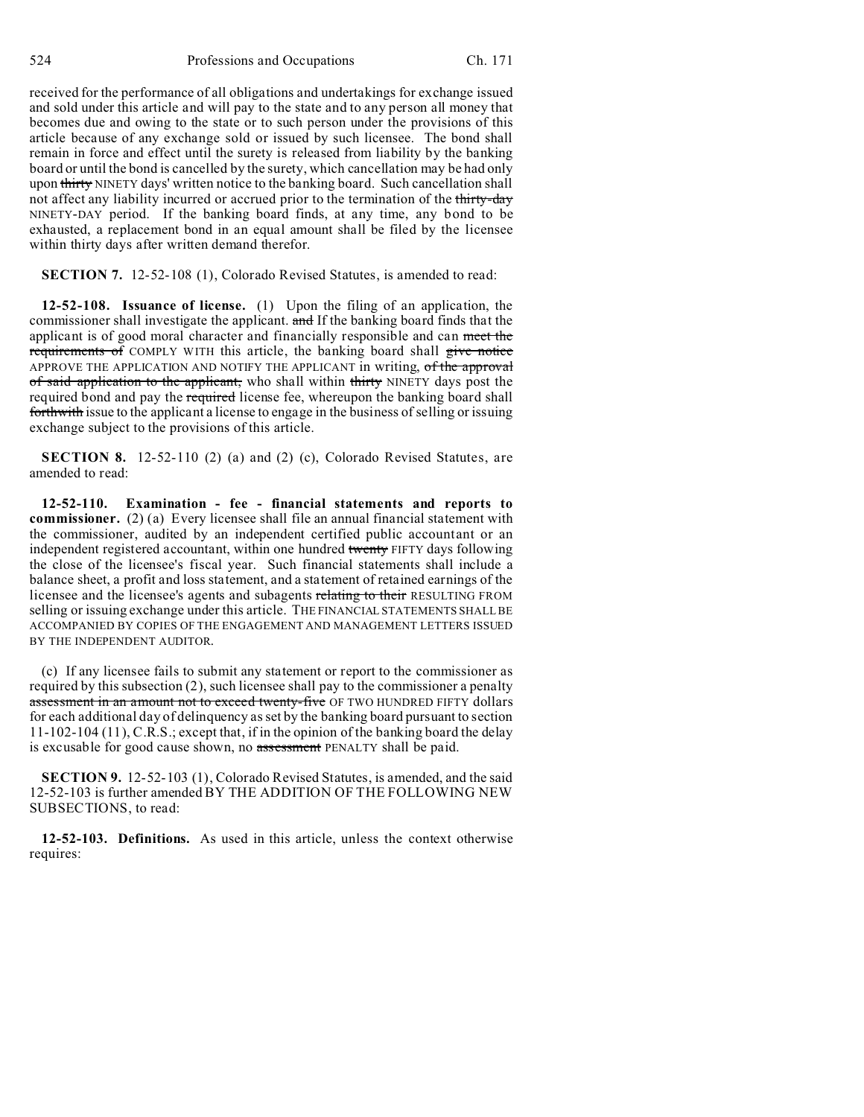received for the performance of all obligations and undertakings for exchange issued and sold under this article and will pay to the state and to any person all money that becomes due and owing to the state or to such person under the provisions of this article because of any exchange sold or issued by such licensee. The bond shall remain in force and effect until the surety is released from liability by the banking board or until the bond is cancelled by the surety, which cancellation may be had only upon thirty NINETY days' written notice to the banking board. Such cancellation shall not affect any liability incurred or accrued prior to the termination of the thirty-day NINETY-DAY period. If the banking board finds, at any time, any bond to be exhausted, a replacement bond in an equal amount shall be filed by the licensee within thirty days after written demand therefor.

**SECTION 7.** 12-52-108 (1), Colorado Revised Statutes, is amended to read:

**12-52-108. Issuance of license.** (1) Upon the filing of an application, the commissioner shall investigate the applicant. and If the banking board finds that the applicant is of good moral character and financially responsible and can meet the requirements of COMPLY WITH this article, the banking board shall give notice APPROVE THE APPLICATION AND NOTIFY THE APPLICANT in writing, of the approval of said application to the applicant, who shall within thirty NINETY days post the required bond and pay the required license fee, whereupon the banking board shall forthwith issue to the applicant a license to engage in the business of selling or issuing exchange subject to the provisions of this article.

**SECTION 8.** 12-52-110 (2) (a) and (2) (c), Colorado Revised Statutes, are amended to read:

**12-52-110. Examination - fee - financial statements and reports to commissioner.** (2) (a) Every licensee shall file an annual financial statement with the commissioner, audited by an independent certified public accountant or an independent registered accountant, within one hundred twenty FIFTY days following the close of the licensee's fiscal year. Such financial statements shall include a balance sheet, a profit and loss statement, and a statement of retained earnings of the licensee and the licensee's agents and subagents relating to their RESULTING FROM selling or issuing exchange under this article. THE FINANCIAL STATEMENTS SHALL BE ACCOMPANIED BY COPIES OF THE ENGAGEMENT AND MANAGEMENT LETTERS ISSUED BY THE INDEPENDENT AUDITOR.

(c) If any licensee fails to submit any statement or report to the commissioner as required by this subsection (2), such licensee shall pay to the commissioner a penalty assessment in an amount not to exceed twenty-five OF TWO HUNDRED FIFTY dollars for each additional day of delinquency as set by the banking board pursuant to section 11-102-104 (11), C.R.S.; except that, if in the opinion of the banking board the delay is excusable for good cause shown, no assessment PENALTY shall be paid.

**SECTION 9.** 12-52-103 (1), Colorado Revised Statutes, is amended, and the said 12-52-103 is further amended BY THE ADDITION OF THE FOLLOWING NEW SUBSECTIONS, to read:

**12-52-103. Definitions.** As used in this article, unless the context otherwise requires: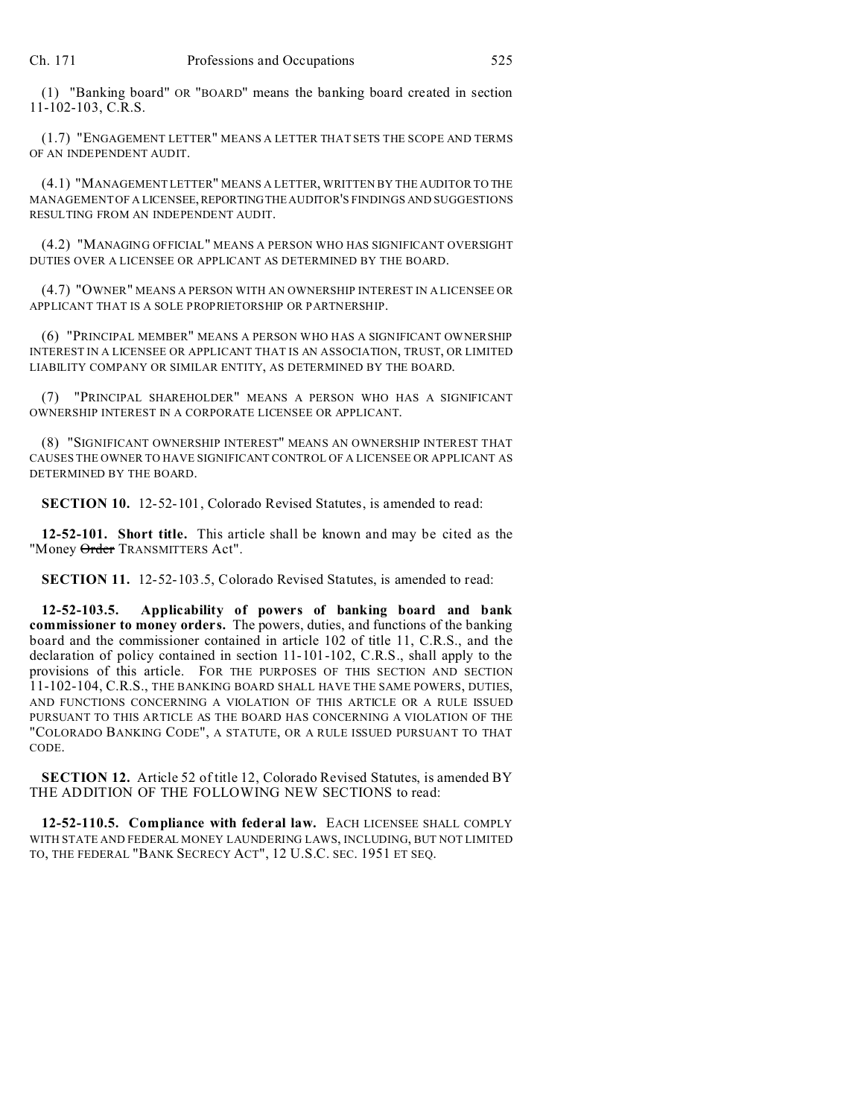(1) "Banking board" OR "BOARD" means the banking board created in section 11-102-103, C.R.S.

(1.7) "ENGAGEMENT LETTER" MEANS A LETTER THAT SETS THE SCOPE AND TERMS OF AN INDEPENDENT AUDIT.

(4.1) "MANAGEMENT LETTER" MEANS A LETTER, WRITTEN BY THE AUDITOR TO THE MANAGEMENT OF A LICENSEE,REPORTINGTHE AUDITOR'S FINDINGS AND SUGGESTIONS RESULTING FROM AN INDEPENDENT AUDIT.

(4.2) "MANAGING OFFICIAL" MEANS A PERSON WHO HAS SIGNIFICANT OVERSIGHT DUTIES OVER A LICENSEE OR APPLICANT AS DETERMINED BY THE BOARD.

(4.7) "OWNER" MEANS A PERSON WITH AN OWNERSHIP INTEREST IN A LICENSEE OR APPLICANT THAT IS A SOLE PROPRIETORSHIP OR PARTNERSHIP.

(6) "PRINCIPAL MEMBER" MEANS A PERSON WHO HAS A SIGNIFICANT OWNERSHIP INTEREST IN A LICENSEE OR APPLICANT THAT IS AN ASSOCIATION, TRUST, OR LIMITED LIABILITY COMPANY OR SIMILAR ENTITY, AS DETERMINED BY THE BOARD.

(7) "PRINCIPAL SHAREHOLDER" MEANS A PERSON WHO HAS A SIGNIFICANT OWNERSHIP INTEREST IN A CORPORATE LICENSEE OR APPLICANT.

(8) "SIGNIFICANT OWNERSHIP INTEREST" MEANS AN OWNERSHIP INTEREST THAT CAUSES THE OWNER TO HAVE SIGNIFICANT CONTROL OF A LICENSEE OR APPLICANT AS DETERMINED BY THE BOARD.

**SECTION 10.** 12-52-101, Colorado Revised Statutes, is amended to read:

**12-52-101. Short title.** This article shall be known and may be cited as the "Money Order TRANSMITTERS Act".

**SECTION 11.** 12-52-103.5, Colorado Revised Statutes, is amended to read:

**12-52-103.5. Applicability of powers of banking board and bank commissioner to money orders.** The powers, duties, and functions of the banking board and the commissioner contained in article 102 of title 11, C.R.S., and the declaration of policy contained in section 11-101-102, C.R.S., shall apply to the provisions of this article. FOR THE PURPOSES OF THIS SECTION AND SECTION 11-102-104, C.R.S., THE BANKING BOARD SHALL HAVE THE SAME POWERS, DUTIES, AND FUNCTIONS CONCERNING A VIOLATION OF THIS ARTICLE OR A RULE ISSUED PURSUANT TO THIS ARTICLE AS THE BOARD HAS CONCERNING A VIOLATION OF THE "COLORADO BANKING CODE", A STATUTE, OR A RULE ISSUED PURSUANT TO THAT CODE.

**SECTION 12.** Article 52 of title 12, Colorado Revised Statutes, is amended BY THE ADDITION OF THE FOLLOWING NEW SECTIONS to read:

**12-52-110.5. Compliance with federal law.** EACH LICENSEE SHALL COMPLY WITH STATE AND FEDERAL MONEY LAUNDERING LAWS, INCLUDING, BUT NOT LIMITED TO, THE FEDERAL "BANK SECRECY ACT", 12 U.S.C. SEC. 1951 ET SEQ.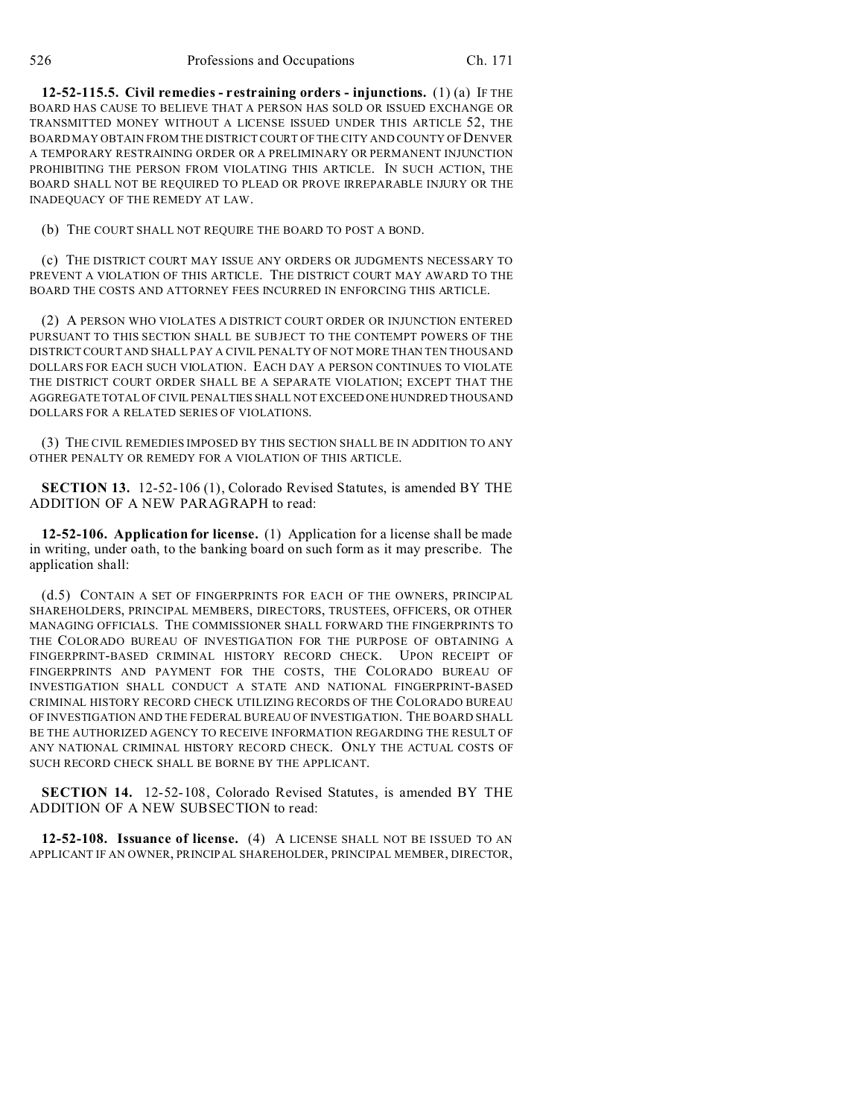**12-52-115.5. Civil remedies - restraining orders - injunctions.** (1) (a) IF THE BOARD HAS CAUSE TO BELIEVE THAT A PERSON HAS SOLD OR ISSUED EXCHANGE OR TRANSMITTED MONEY WITHOUT A LICENSE ISSUED UNDER THIS ARTICLE 52, THE BOARD MAY OBTAIN FROM THE DISTRICT COURT OF THE CITY AND COUNTY OF DENVER A TEMPORARY RESTRAINING ORDER OR A PRELIMINARY OR PERMANENT INJUNCTION PROHIBITING THE PERSON FROM VIOLATING THIS ARTICLE. IN SUCH ACTION, THE BOARD SHALL NOT BE REQUIRED TO PLEAD OR PROVE IRREPARABLE INJURY OR THE INADEQUACY OF THE REMEDY AT LAW.

(b) THE COURT SHALL NOT REQUIRE THE BOARD TO POST A BOND.

(c) THE DISTRICT COURT MAY ISSUE ANY ORDERS OR JUDGMENTS NECESSARY TO PREVENT A VIOLATION OF THIS ARTICLE. THE DISTRICT COURT MAY AWARD TO THE BOARD THE COSTS AND ATTORNEY FEES INCURRED IN ENFORCING THIS ARTICLE.

(2) A PERSON WHO VIOLATES A DISTRICT COURT ORDER OR INJUNCTION ENTERED PURSUANT TO THIS SECTION SHALL BE SUBJECT TO THE CONTEMPT POWERS OF THE DISTRICT COURT AND SHALL PAY A CIVIL PENALTY OF NOT MORE THAN TEN THOUSAND DOLLARS FOR EACH SUCH VIOLATION. EACH DAY A PERSON CONTINUES TO VIOLATE THE DISTRICT COURT ORDER SHALL BE A SEPARATE VIOLATION; EXCEPT THAT THE AGGREGATE TOTAL OF CIVIL PENALTIES SHALL NOT EXCEED ONE HUNDRED THOUSAND DOLLARS FOR A RELATED SERIES OF VIOLATIONS.

(3) THE CIVIL REMEDIES IMPOSED BY THIS SECTION SHALL BE IN ADDITION TO ANY OTHER PENALTY OR REMEDY FOR A VIOLATION OF THIS ARTICLE.

**SECTION 13.** 12-52-106 (1), Colorado Revised Statutes, is amended BY THE ADDITION OF A NEW PARAGRAPH to read:

**12-52-106. Application for license.** (1) Application for a license shall be made in writing, under oath, to the banking board on such form as it may prescribe. The application shall:

(d.5) CONTAIN A SET OF FINGERPRINTS FOR EACH OF THE OWNERS, PRINCIPAL SHAREHOLDERS, PRINCIPAL MEMBERS, DIRECTORS, TRUSTEES, OFFICERS, OR OTHER MANAGING OFFICIALS. THE COMMISSIONER SHALL FORWARD THE FINGERPRINTS TO THE COLORADO BUREAU OF INVESTIGATION FOR THE PURPOSE OF OBTAINING A FINGERPRINT-BASED CRIMINAL HISTORY RECORD CHECK. UPON RECEIPT OF FINGERPRINTS AND PAYMENT FOR THE COSTS, THE COLORADO BUREAU OF INVESTIGATION SHALL CONDUCT A STATE AND NATIONAL FINGERPRINT-BASED CRIMINAL HISTORY RECORD CHECK UTILIZING RECORDS OF THE COLORADO BUREAU OF INVESTIGATION AND THE FEDERAL BUREAU OF INVESTIGATION. THE BOARD SHALL BE THE AUTHORIZED AGENCY TO RECEIVE INFORMATION REGARDING THE RESULT OF ANY NATIONAL CRIMINAL HISTORY RECORD CHECK. ONLY THE ACTUAL COSTS OF SUCH RECORD CHECK SHALL BE BORNE BY THE APPLICANT.

**SECTION 14.** 12-52-108, Colorado Revised Statutes, is amended BY THE ADDITION OF A NEW SUBSECTION to read:

**12-52-108. Issuance of license.** (4) A LICENSE SHALL NOT BE ISSUED TO AN APPLICANT IF AN OWNER, PRINCIPAL SHAREHOLDER, PRINCIPAL MEMBER, DIRECTOR,